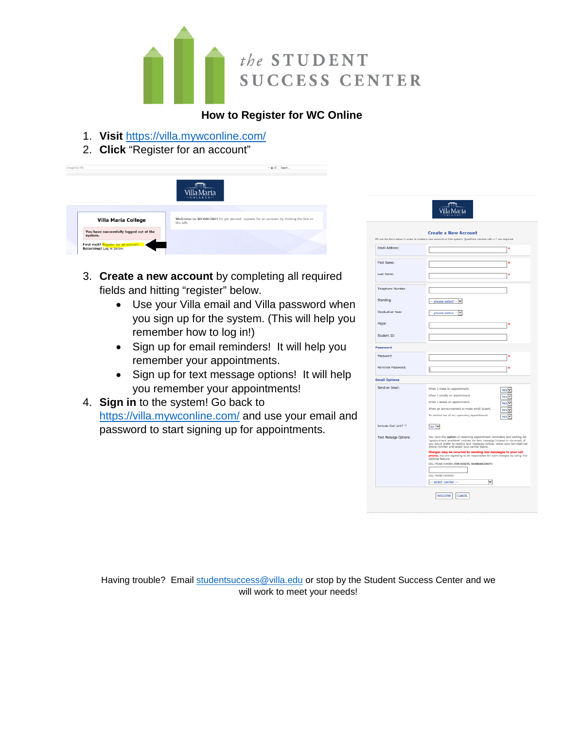

## **How to Register for WC Online**

- 1. **Visit** <https://villa.mywconline.com/>
- 2. **Click** "Register for an account"



- 3. **Create a new account** by completing all required fields and hitting "register" below.
	- Use your Villa email and Villa password when you sign up for the system. (This will help you remember how to log in!)
	- Sign up for email reminders! It will help you remember your appointments.
	- Sign up for text message options! It will help you remember your appointments!
- 4. **Sign in** to the system! Go back to <https://villa.mywconline.com/> and use your email and password to start signing up for appointments.

|                       | <b>Create a New Account</b>                                                                                                                                                                                                                                                        |                                                                          |
|-----------------------|------------------------------------------------------------------------------------------------------------------------------------------------------------------------------------------------------------------------------------------------------------------------------------|--------------------------------------------------------------------------|
|                       | Fill out the form below in order to create a new account on this system. Questions marked with a * are required.                                                                                                                                                                   |                                                                          |
| Email Address:        |                                                                                                                                                                                                                                                                                    | ×                                                                        |
| First Name:           |                                                                                                                                                                                                                                                                                    | ×                                                                        |
| Last Name:            |                                                                                                                                                                                                                                                                                    | ×                                                                        |
| Telephone Number:     |                                                                                                                                                                                                                                                                                    |                                                                          |
| Standing:             | please select --<br>v                                                                                                                                                                                                                                                              |                                                                          |
| Graduation Year:      | please select -                                                                                                                                                                                                                                                                    |                                                                          |
| Major:                |                                                                                                                                                                                                                                                                                    | ×                                                                        |
| Student ID:           |                                                                                                                                                                                                                                                                                    |                                                                          |
| Password              |                                                                                                                                                                                                                                                                                    |                                                                          |
| Password:             |                                                                                                                                                                                                                                                                                    | ×                                                                        |
| Re-Enter Password:    | II                                                                                                                                                                                                                                                                                 | sk.                                                                      |
| <b>Email Options</b>  |                                                                                                                                                                                                                                                                                    |                                                                          |
| Send an Email:        | When I make an appointment.<br>When I modify an appointment.<br>When I delete an appointment.<br>When an announcement or mass email is sent.<br>To remind me of my upcoming appointment.                                                                                           | Yes ∨<br>Yes <sup>I</sup><br>Yes <sup>V</sup><br>Yes <sup>V</sup><br>Yes |
| Include ICal Link?    | No V                                                                                                                                                                                                                                                                               |                                                                          |
| Text Message Options: | You have the aption of receiving appointment reminders and walting list<br>"appointment available" notices via text message instead of via email. If<br>you would prefer to receive text message notices, enter your ten-digit cell<br>phone number and select your carrier below. |                                                                          |
|                       | Charges may be incurred by sending text messages to your cell<br>phone. You are agreeing to be responsible for such charges by using this<br>optional feature.                                                                                                                     |                                                                          |
|                       | CELL PHONE NUMBER (TEN DIGITS, NUMBERS ONLY):                                                                                                                                                                                                                                      |                                                                          |
|                       | CILL PHONE CARRIER:<br>$\checkmark$<br>- select carrier --                                                                                                                                                                                                                         |                                                                          |

Having trouble? Email [studentsuccess@villa.edu](mailto:studentsuccess@villa.edu) or stop by the Student Success Center and we will work to meet your needs!